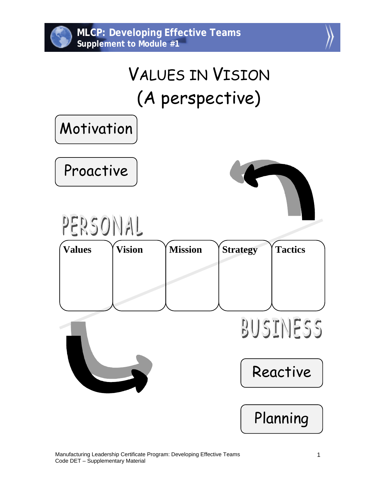



## VALUES IN VISION (A perspective)

Motivation